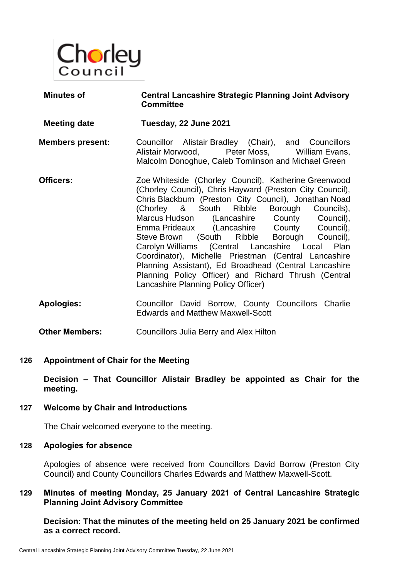

| <b>Minutes of</b>       | <b>Central Lancashire Strategic Planning Joint Advisory</b><br><b>Committee</b>                                                                                                                                                                                                                                                                                                                                                                                                                                                                                                                                                       |
|-------------------------|---------------------------------------------------------------------------------------------------------------------------------------------------------------------------------------------------------------------------------------------------------------------------------------------------------------------------------------------------------------------------------------------------------------------------------------------------------------------------------------------------------------------------------------------------------------------------------------------------------------------------------------|
| <b>Meeting date</b>     | Tuesday, 22 June 2021                                                                                                                                                                                                                                                                                                                                                                                                                                                                                                                                                                                                                 |
| <b>Members present:</b> | Councillor Alistair Bradley (Chair), and Councillors<br>Alistair Morwood, Peter Moss, William Evans,<br>Malcolm Donoghue, Caleb Tomlinson and Michael Green                                                                                                                                                                                                                                                                                                                                                                                                                                                                           |
| Officers:               | Zoe Whiteside (Chorley Council), Katherine Greenwood<br>(Chorley Council), Chris Hayward (Preston City Council),<br>Chris Blackburn (Preston City Council), Jonathan Noad<br>(Chorley & South Ribble Borough Councils),<br>Marcus Hudson (Lancashire County Council),<br>Emma Prideaux (Lancashire County Council),<br>Steve Brown (South Ribble Borough Council),<br>Carolyn Williams (Central Lancashire Local Plan<br>Coordinator), Michelle Priestman (Central Lancashire<br>Planning Assistant), Ed Broadhead (Central Lancashire<br>Planning Policy Officer) and Richard Thrush (Central<br>Lancashire Planning Policy Officer) |
| <b>Apologies:</b>       | Councillor David Borrow, County Councillors Charlie<br><b>Edwards and Matthew Maxwell-Scott</b>                                                                                                                                                                                                                                                                                                                                                                                                                                                                                                                                       |

**Other Members:** Councillors Julia Berry and Alex Hilton

#### **126 Appointment of Chair for the Meeting**

**Decision – That Councillor Alistair Bradley be appointed as Chair for the meeting.**

#### **127 Welcome by Chair and Introductions**

The Chair welcomed everyone to the meeting.

#### **128 Apologies for absence**

Apologies of absence were received from Councillors David Borrow (Preston City Council) and County Councillors Charles Edwards and Matthew Maxwell-Scott.

# **129 Minutes of meeting Monday, 25 January 2021 of Central Lancashire Strategic Planning Joint Advisory Committee**

**Decision: That the minutes of the meeting held on 25 January 2021 be confirmed as a correct record.**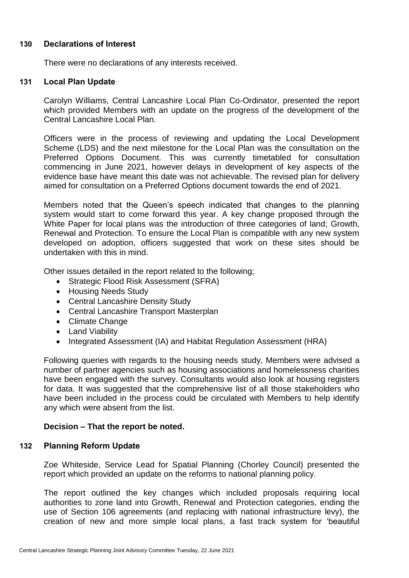### **130 Declarations of Interest**

There were no declarations of any interests received.

### **131 Local Plan Update**

Carolyn Williams, Central Lancashire Local Plan Co-Ordinator, presented the report which provided Members with an update on the progress of the development of the Central Lancashire Local Plan.

Officers were in the process of reviewing and updating the Local Development Scheme (LDS) and the next milestone for the Local Plan was the consultation on the Preferred Options Document. This was currently timetabled for consultation commencing in June 2021, however delays in development of key aspects of the evidence base have meant this date was not achievable. The revised plan for delivery aimed for consultation on a Preferred Options document towards the end of 2021.

Members noted that the Queen's speech indicated that changes to the planning system would start to come forward this year. A key change proposed through the White Paper for local plans was the introduction of three categories of land; Growth, Renewal and Protection. To ensure the Local Plan is compatible with any new system developed on adoption, officers suggested that work on these sites should be undertaken with this in mind.

Other issues detailed in the report related to the following;

- Strategic Flood Risk Assessment (SFRA)
- Housing Needs Study
- Central Lancashire Density Study
- Central Lancashire Transport Masterplan
- Climate Change
- Land Viability
- Integrated Assessment (IA) and Habitat Regulation Assessment (HRA)

Following queries with regards to the housing needs study, Members were advised a number of partner agencies such as housing associations and homelessness charities have been engaged with the survey. Consultants would also look at housing registers for data. It was suggested that the comprehensive list of all those stakeholders who have been included in the process could be circulated with Members to help identify any which were absent from the list.

# **Decision – That the report be noted.**

#### **132 Planning Reform Update**

Zoe Whiteside, Service Lead for Spatial Planning (Chorley Council) presented the report which provided an update on the reforms to national planning policy.

The report outlined the key changes which included proposals requiring local authorities to zone land into Growth, Renewal and Protection categories, ending the use of Section 106 agreements (and replacing with national infrastructure levy), the creation of new and more simple local plans, a fast track system for 'beautiful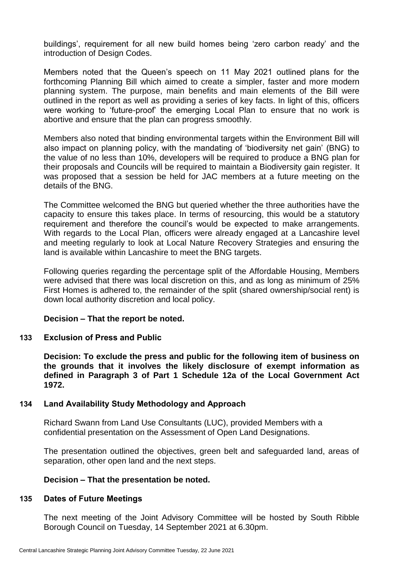buildings', requirement for all new build homes being 'zero carbon ready' and the introduction of Design Codes.

Members noted that the Queen's speech on 11 May 2021 outlined plans for the forthcoming Planning Bill which aimed to create a simpler, faster and more modern planning system. The purpose, main benefits and main elements of the Bill were outlined in the report as well as providing a series of key facts. In light of this, officers were working to 'future-proof' the emerging Local Plan to ensure that no work is abortive and ensure that the plan can progress smoothly.

Members also noted that binding environmental targets within the Environment Bill will also impact on planning policy, with the mandating of 'biodiversity net gain' (BNG) to the value of no less than 10%, developers will be required to produce a BNG plan for their proposals and Councils will be required to maintain a Biodiversity gain register. It was proposed that a session be held for JAC members at a future meeting on the details of the BNG.

The Committee welcomed the BNG but queried whether the three authorities have the capacity to ensure this takes place. In terms of resourcing, this would be a statutory requirement and therefore the council's would be expected to make arrangements. With regards to the Local Plan, officers were already engaged at a Lancashire level and meeting regularly to look at Local Nature Recovery Strategies and ensuring the land is available within Lancashire to meet the BNG targets.

Following queries regarding the percentage split of the Affordable Housing, Members were advised that there was local discretion on this, and as long as minimum of 25% First Homes is adhered to, the remainder of the split (shared ownership/social rent) is down local authority discretion and local policy.

# **Decision – That the report be noted.**

# **133 Exclusion of Press and Public**

**Decision: To exclude the press and public for the following item of business on the grounds that it involves the likely disclosure of exempt information as defined in Paragraph 3 of Part 1 Schedule 12a of the Local Government Act 1972.**

# **134 Land Availability Study Methodology and Approach**

Richard Swann from Land Use Consultants (LUC), provided Members with a confidential presentation on the Assessment of Open Land Designations.

The presentation outlined the objectives, green belt and safeguarded land, areas of separation, other open land and the next steps.

# **Decision – That the presentation be noted.**

#### **135 Dates of Future Meetings**

The next meeting of the Joint Advisory Committee will be hosted by South Ribble Borough Council on Tuesday, 14 September 2021 at 6.30pm.